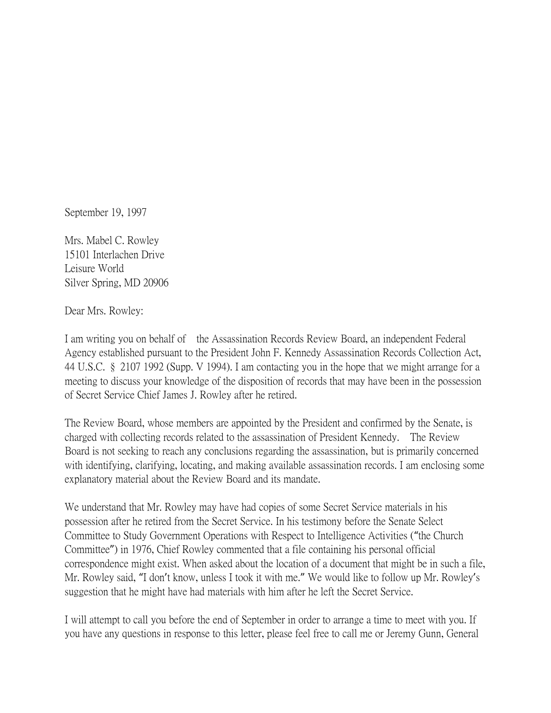September 19, 1997

Mrs. Mabel C. Rowley 15101 Interlachen Drive Leisure World Silver Spring, MD 20906

Dear Mrs. Rowley:

I am writing you on behalf of the Assassination Records Review Board, an independent Federal Agency established pursuant to the President John F. Kennedy Assassination Records Collection Act, 44 U.S.C. § 2107 1992 (Supp. V 1994). I am contacting you in the hope that we might arrange for a meeting to discuss your knowledge of the disposition of records that may have been in the possession of Secret Service Chief James J. Rowley after he retired.

The Review Board, whose members are appointed by the President and confirmed by the Senate, is charged with collecting records related to the assassination of President Kennedy. The Review Board is not seeking to reach any conclusions regarding the assassination, but is primarily concerned with identifying, clarifying, locating, and making available assassination records. I am enclosing some explanatory material about the Review Board and its mandate.

We understand that Mr. Rowley may have had copies of some Secret Service materials in his possession after he retired from the Secret Service. In his testimony before the Senate Select Committee to Study Government Operations with Respect to Intelligence Activities ("the Church Committee") in 1976, Chief Rowley commented that a file containing his personal official correspondence might exist. When asked about the location of a document that might be in such a file, Mr. Rowley said, "I don't know, unless I took it with me." We would like to follow up Mr. Rowley's suggestion that he might have had materials with him after he left the Secret Service.

I will attempt to call you before the end of September in order to arrange a time to meet with you. If you have any questions in response to this letter, please feel free to call me or Jeremy Gunn, General